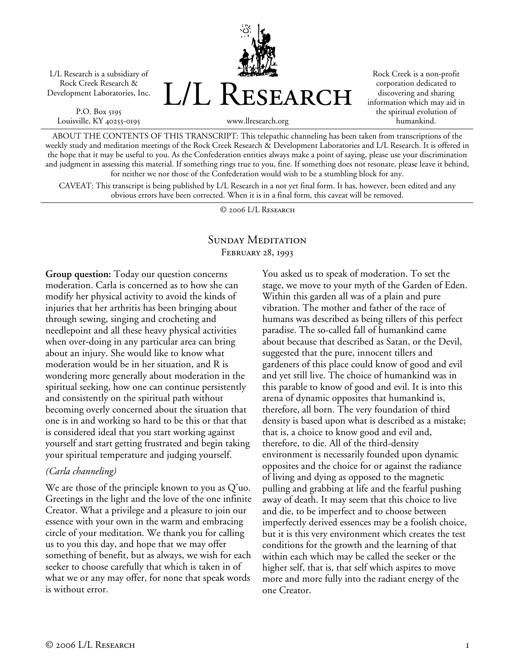

P.O. Box 5195 Louisville, KY 40255-0195



Rock Creek is a non-profit corporation dedicated to discovering and sharing information which may aid in the spiritual evolution of humankind.

ABOUT THE CONTENTS OF THIS TRANSCRIPT: This telepathic channeling has been taken from transcriptions of the weekly study and meditation meetings of the Rock Creek Research & Development Laboratories and L/L Research. It is offered in the hope that it may be useful to you. As the Confederation entities always make a point of saying, please use your discrimination and judgment in assessing this material. If something rings true to you, fine. If something does not resonate, please leave it behind, for neither we nor those of the Confederation would wish to be a stumbling block for any.

CAVEAT: This transcript is being published by L/L Research in a not yet final form. It has, however, been edited and any obvious errors have been corrected. When it is in a final form, this caveat will be removed.

© 2006 L/L Research

## SUNDAY MEDITATION February 28, 1993

**Group question:** Today our question concerns moderation. Carla is concerned as to how she can modify her physical activity to avoid the kinds of injuries that her arthritis has been bringing about through sewing, singing and crocheting and needlepoint and all these heavy physical activities when over-doing in any particular area can bring about an injury. She would like to know what moderation would be in her situation, and R is wondering more generally about moderation in the spiritual seeking, how one can continue persistently and consistently on the spiritual path without becoming overly concerned about the situation that one is in and working so hard to be this or that that is considered ideal that you start working against yourself and start getting frustrated and begin taking your spiritual temperature and judging yourself.

## *(Carla channeling)*

We are those of the principle known to you as Q'uo. Greetings in the light and the love of the one infinite Creator. What a privilege and a pleasure to join our essence with your own in the warm and embracing circle of your meditation. We thank you for calling us to you this day, and hope that we may offer something of benefit, but as always, we wish for each seeker to choose carefully that which is taken in of what we or any may offer, for none that speak words is without error.

You asked us to speak of moderation. To set the stage, we move to your myth of the Garden of Eden. Within this garden all was of a plain and pure vibration. The mother and father of the race of humans was described as being tillers of this perfect paradise. The so-called fall of humankind came about because that described as Satan, or the Devil, suggested that the pure, innocent tillers and gardeners of this place could know of good and evil and yet still live. The choice of humankind was in this parable to know of good and evil. It is into this arena of dynamic opposites that humankind is, therefore, all born. The very foundation of third density is based upon what is described as a mistake; that is, a choice to know good and evil and, therefore, to die. All of the third-density environment is necessarily founded upon dynamic opposites and the choice for or against the radiance of living and dying as opposed to the magnetic pulling and grabbing at life and the fearful pushing away of death. It may seem that this choice to live and die, to be imperfect and to choose between imperfectly derived essences may be a foolish choice, but it is this very environment which creates the test conditions for the growth and the learning of that within each which may be called the seeker or the higher self, that is, that self which aspires to move more and more fully into the radiant energy of the one Creator.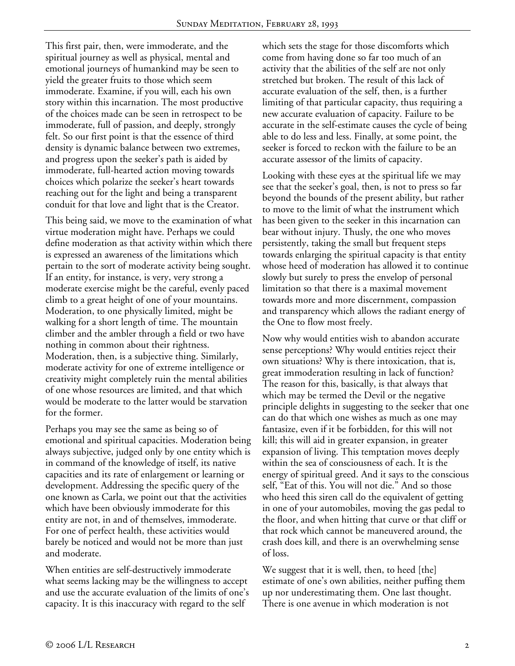This first pair, then, were immoderate, and the spiritual journey as well as physical, mental and emotional journeys of humankind may be seen to yield the greater fruits to those which seem immoderate. Examine, if you will, each his own story within this incarnation. The most productive of the choices made can be seen in retrospect to be immoderate, full of passion, and deeply, strongly felt. So our first point is that the essence of third density is dynamic balance between two extremes, and progress upon the seeker's path is aided by immoderate, full-hearted action moving towards choices which polarize the seeker's heart towards reaching out for the light and being a transparent conduit for that love and light that is the Creator.

This being said, we move to the examination of what virtue moderation might have. Perhaps we could define moderation as that activity within which there is expressed an awareness of the limitations which pertain to the sort of moderate activity being sought. If an entity, for instance, is very, very strong a moderate exercise might be the careful, evenly paced climb to a great height of one of your mountains. Moderation, to one physically limited, might be walking for a short length of time. The mountain climber and the ambler through a field or two have nothing in common about their rightness. Moderation, then, is a subjective thing. Similarly, moderate activity for one of extreme intelligence or creativity might completely ruin the mental abilities of one whose resources are limited, and that which would be moderate to the latter would be starvation for the former.

Perhaps you may see the same as being so of emotional and spiritual capacities. Moderation being always subjective, judged only by one entity which is in command of the knowledge of itself, its native capacities and its rate of enlargement or learning or development. Addressing the specific query of the one known as Carla, we point out that the activities which have been obviously immoderate for this entity are not, in and of themselves, immoderate. For one of perfect health, these activities would barely be noticed and would not be more than just and moderate.

When entities are self-destructively immoderate what seems lacking may be the willingness to accept and use the accurate evaluation of the limits of one's capacity. It is this inaccuracy with regard to the self

which sets the stage for those discomforts which come from having done so far too much of an activity that the abilities of the self are not only stretched but broken. The result of this lack of accurate evaluation of the self, then, is a further limiting of that particular capacity, thus requiring a new accurate evaluation of capacity. Failure to be accurate in the self-estimate causes the cycle of being able to do less and less. Finally, at some point, the seeker is forced to reckon with the failure to be an accurate assessor of the limits of capacity.

Looking with these eyes at the spiritual life we may see that the seeker's goal, then, is not to press so far beyond the bounds of the present ability, but rather to move to the limit of what the instrument which has been given to the seeker in this incarnation can bear without injury. Thusly, the one who moves persistently, taking the small but frequent steps towards enlarging the spiritual capacity is that entity whose heed of moderation has allowed it to continue slowly but surely to press the envelop of personal limitation so that there is a maximal movement towards more and more discernment, compassion and transparency which allows the radiant energy of the One to flow most freely.

Now why would entities wish to abandon accurate sense perceptions? Why would entities reject their own situations? Why is there intoxication, that is, great immoderation resulting in lack of function? The reason for this, basically, is that always that which may be termed the Devil or the negative principle delights in suggesting to the seeker that one can do that which one wishes as much as one may fantasize, even if it be forbidden, for this will not kill; this will aid in greater expansion, in greater expansion of living. This temptation moves deeply within the sea of consciousness of each. It is the energy of spiritual greed. And it says to the conscious self, "Eat of this. You will not die." And so those who heed this siren call do the equivalent of getting in one of your automobiles, moving the gas pedal to the floor, and when hitting that curve or that cliff or that rock which cannot be maneuvered around, the crash does kill, and there is an overwhelming sense of loss.

We suggest that it is well, then, to heed [the] estimate of one's own abilities, neither puffing them up nor underestimating them. One last thought. There is one avenue in which moderation is not